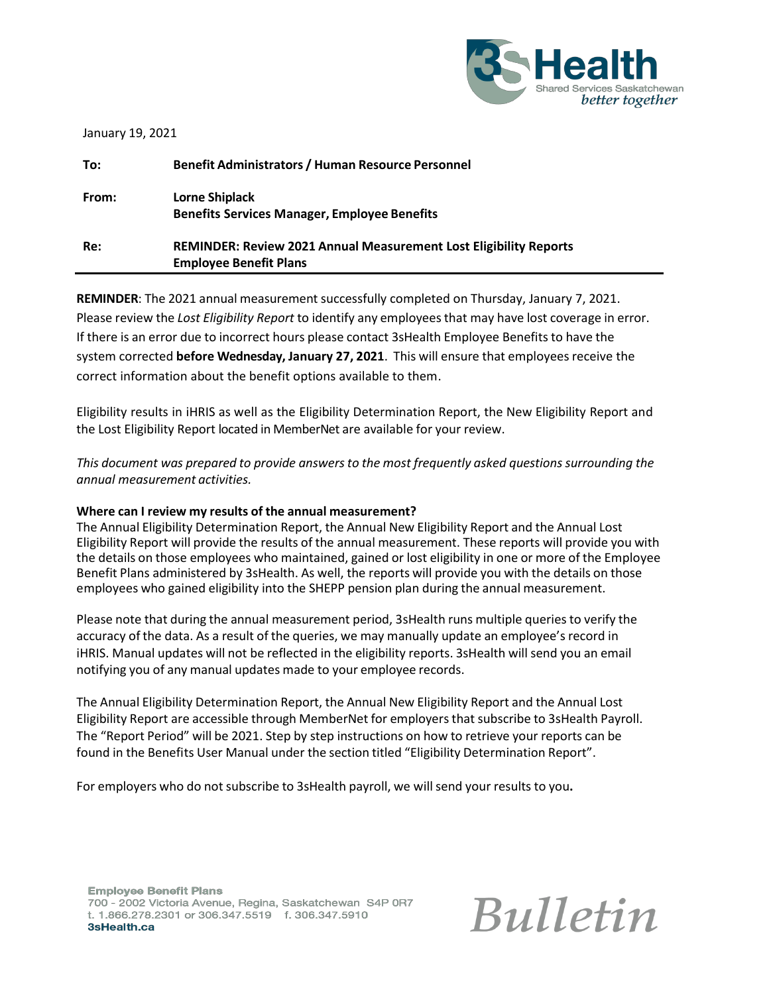

| January 19, 2021 |                                                                                                           |
|------------------|-----------------------------------------------------------------------------------------------------------|
| To:              | <b>Benefit Administrators / Human Resource Personnel</b>                                                  |
| From:            | <b>Lorne Shiplack</b><br><b>Benefits Services Manager, Employee Benefits</b>                              |
| Re:              | <b>REMINDER: Review 2021 Annual Measurement Lost Eligibility Reports</b><br><b>Employee Benefit Plans</b> |

**REMINDER**: The 2021 annual measurement successfully completed on Thursday, January 7, 2021. Please review the *Lost Eligibility Report* to identify any employeesthat may have lost coverage in error. If there is an error due to incorrect hours please contact 3sHealth Employee Benefits to have the system corrected **before Wednesday, January 27, 2021**. This will ensure that employees receive the correct information about the benefit options available to them.

Eligibility results in iHRIS as well as the Eligibility Determination Report, the New Eligibility Report and the Lost Eligibility Report located in MemberNet are available for your review.

*This document was prepared to provide answersto the most frequently asked questions surrounding the annual measurement activities.*

### **Where can I review my results of the annual measurement?**

The Annual Eligibility Determination Report, the Annual New Eligibility Report and the Annual Lost Eligibility Report will provide the results of the annual measurement. These reports will provide you with the details on those employees who maintained, gained or lost eligibility in one or more of the Employee Benefit Plans administered by 3sHealth. As well, the reports will provide you with the details on those employees who gained eligibility into the SHEPP pension plan during the annual measurement.

Please note that during the annual measurement period, 3sHealth runs multiple queries to verify the accuracy of the data. As a result of the queries, we may manually update an employee's record in iHRIS. Manual updates will not be reflected in the eligibility reports. 3sHealth will send you an email notifying you of any manual updates made to your employee records.

The Annual Eligibility Determination Report, the Annual New Eligibility Report and the Annual Lost Eligibility Report are accessible through MemberNet for employersthat subscribe to 3sHealth Payroll. The "Report Period" will be 2021. Step by step instructions on how to retrieve your reports can be found in the Benefits User Manual under the section titled "Eligibility Determination Report".

For employers who do not subscribe to 3sHealth payroll, we willsend your results to you**.**

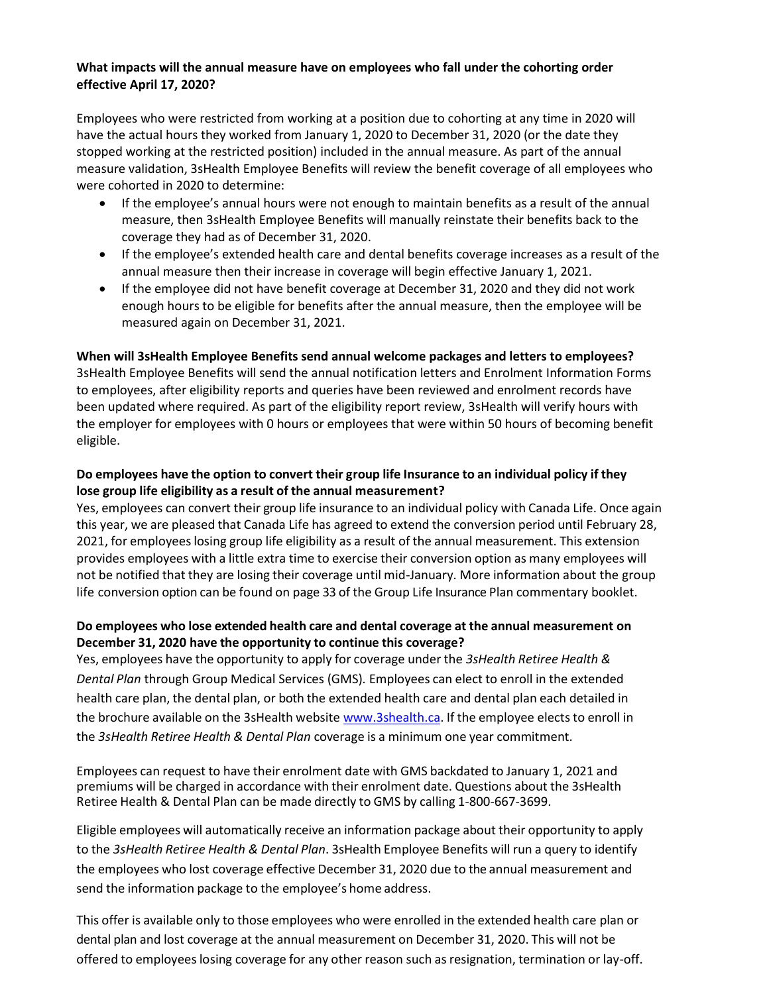### **What impacts will the annual measure have on employees who fall under the cohorting order effective April 17, 2020?**

Employees who were restricted from working at a position due to cohorting at any time in 2020 will have the actual hours they worked from January 1, 2020 to December 31, 2020 (or the date they stopped working at the restricted position) included in the annual measure. As part of the annual measure validation, 3sHealth Employee Benefits will review the benefit coverage of all employees who were cohorted in 2020 to determine:

- If the employee's annual hours were not enough to maintain benefits as a result of the annual measure, then 3sHealth Employee Benefits will manually reinstate their benefits back to the coverage they had as of December 31, 2020.
- If the employee's extended health care and dental benefits coverage increases as a result of the annual measure then their increase in coverage will begin effective January 1, 2021.
- If the employee did not have benefit coverage at December 31, 2020 and they did not work enough hours to be eligible for benefits after the annual measure, then the employee will be measured again on December 31, 2021.

### **When will 3sHealth Employee Benefits send annual welcome packages and letters to employees?**

3sHealth Employee Benefits will send the annual notification letters and Enrolment Information Forms to employees, after eligibility reports and queries have been reviewed and enrolment records have been updated where required. As part of the eligibility report review, 3sHealth will verify hours with the employer for employees with 0 hours or employees that were within 50 hours of becoming benefit eligible.

# **Do employees have the option to convert their group life Insurance to an individual policy if they lose group life eligibility as a result of the annual measurement?**

Yes, employees can convert their group life insurance to an individual policy with Canada Life. Once again this year, we are pleased that Canada Life has agreed to extend the conversion period until February 28, 2021, for employeeslosing group life eligibility as a result of the annual measurement. This extension provides employees with a little extra time to exercise their conversion option as many employees will not be notified that they are losing their coverage until mid-January. More information about the group life conversion option can be found on page 33 of the Group Life Insurance Plan commentary booklet.

## **Do employees who lose extended health care and dental coverage at the annual measurement on December 31, 2020 have the opportunity to continue this coverage?**

Yes, employees have the opportunity to apply for coverage under the *3sHealth Retiree Health & Dental Plan* through Group Medical Services (GMS)*.* Employees can elect to enroll in the extended health care plan, the dental plan, or both the extended health care and dental plan each detailed in the brochure available on the 3sHealth website [www.3shealth.ca.](http://www.3shealth.ca/) If the employee elects to enroll in the *3sHealth Retiree Health & Dental Plan* coverage is a minimum one year commitment.

Employees can request to have their enrolment date with GMS backdated to January 1, 2021 and premiums will be charged in accordance with their enrolment date. Questions about the 3sHealth Retiree Health & Dental Plan can be made directly to GMS by calling 1-800-667-3699.

Eligible employees will automatically receive an information package about their opportunity to apply to the *3sHealth Retiree Health & Dental Plan*. 3sHealth Employee Benefits will run a query to identify the employees who lost coverage effective December 31, 2020 due to the annual measurement and send the information package to the employee's home address.

This offer is available only to those employees who were enrolled in the extended health care plan or dental plan and lost coverage at the annual measurement on December 31, 2020. This will not be offered to employees losing coverage for any other reason such as resignation, termination or lay-off.